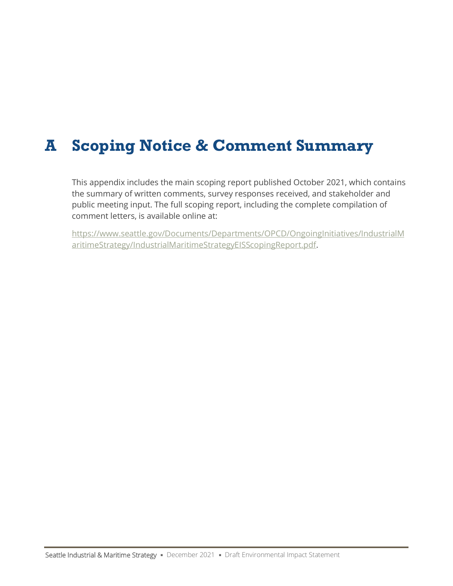# **A Scoping Notice & Comment Summary**

This appendix includes the main scoping report published October 2021, which contains the summary of written comments, survey responses received, and stakeholder and public meeting input. The full scoping report, including the complete compilation of comment letters, is available online at:

[https://www.seattle.gov/Documents/Departments/OPCD/OngoingInitiatives/IndustrialM](https://www.seattle.gov/Documents/Departments/OPCD/OngoingInitiatives/IndustrialMaritimeStrategy/IndustrialMaritimeStrategyEISScopingReport.pdf) [aritimeStrategy/IndustrialMaritimeStrategyEISScopingReport.pdf.](https://www.seattle.gov/Documents/Departments/OPCD/OngoingInitiatives/IndustrialMaritimeStrategy/IndustrialMaritimeStrategyEISScopingReport.pdf)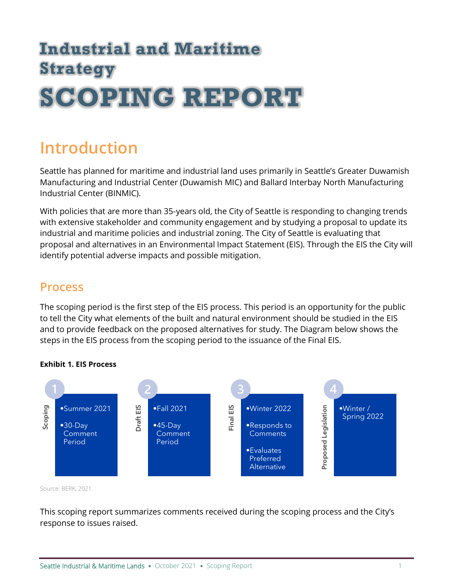# **Industrial and Maritime Strategy SCOPING REPORT**

# **Introduction**

Seattle has planned for maritime and industrial land uses primarily in Seattle's Greater Duwamish Manufacturing and Industrial Center (Duwamish MIC) and Ballard Interbay North Manufacturing Industrial Center (BINMIC).

With policies that are more than 35-years old, the City of Seattle is responding to changing trends with extensive stakeholder and community engagement and by studying a proposal to update its industrial and maritime policies and industrial zoning. The City of Seattle is evaluating that proposal and alternatives in an Environmental Impact Statement (EIS). Through the EIS the City will identify potential adverse impacts and possible mitigation.

## **Process**

The scoping period is the first step of the EIS process. This period is an opportunity for the public to tell the City what elements of the built and natural environment should be studied in the EIS and to provide feedback on the proposed alternatives for study. The Diagram below shows the steps in the EIS process from the scoping period to the issuance of the Final EIS.



### **Exhibit 1. EIS Process**

Source: BERK, 2021.

This scoping report summarizes comments received during the scoping process and the City's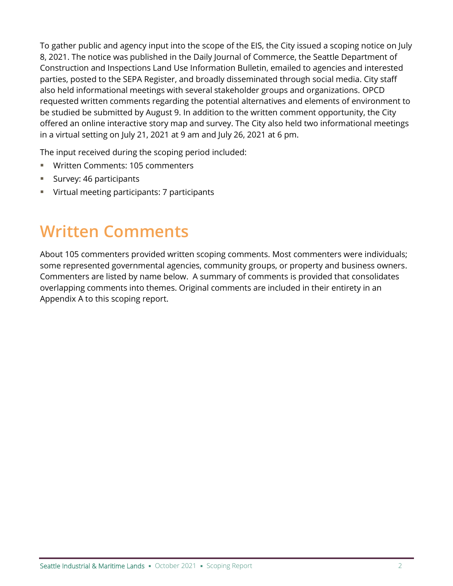To gather public and agency input into the scope of the EIS, the City issued a scoping notice on July 8, 2021. The notice was published in the Daily Journal of Commerce, the Seattle Department of Construction and Inspections Land Use Information Bulletin, emailed to agencies and interested parties, posted to the SEPA Register, and broadly disseminated through social media. City staff also held informational meetings with several stakeholder groups and organizations. OPCD requested written comments regarding the potential alternatives and elements of environment to be studied be submitted by August 9. In addition to the written comment opportunity, the City offered an online interactive story map and survey. The City also held two informational meetings in a virtual setting on July 21, 2021 at 9 am and July 26, 2021 at 6 pm.

The input received during the scoping period included:

- Written Comments: 105 commenters
- Survey: 46 participants
- Virtual meeting participants: 7 participants

# **Written Comments**

About 105 commenters provided written scoping comments. Most commenters were individuals; some represented governmental agencies, community groups, or property and business owners. Commenters are listed by name below. A summary of comments is provided that consolidates overlapping comments into themes. Original comments are included in their entirety in an Appendix A to this scoping report.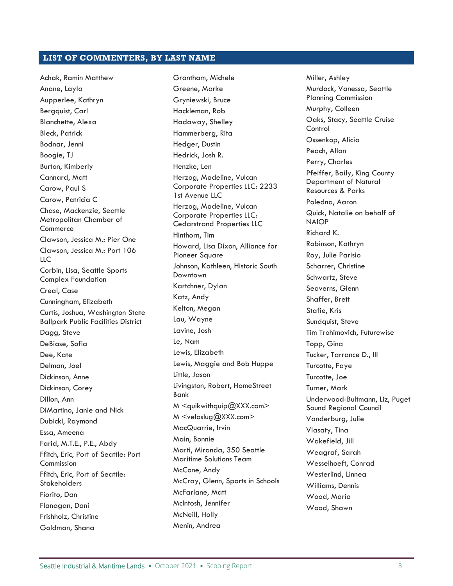#### **LIST OF COMMENTERS, BY LAST NAME**

Achak, Ramin Matthew Anane, Layla Aupperlee, Kathryn Bergquist, Carl Blanchette, Alexa Bleck, Patrick Bodnar, Jenni Boogie, TJ Burton, Kimberly Cannard, Matt Carow, Paul S Carow, Patricia C Chase, Mackenzie, Seattle Metropolitan Chamber of **Commerce** Clawson, Jessica M.: Pier One Clawson, Jessica M.: Port 106 LLC Corbin, Lisa, Seattle Sports Complex Foundation Creal, Case Cunningham, Elizabeth Curtis, Joshua, Washington State Ballpark Public Facilities District Dagg, Steve DeBiase, Sofia Dee, Kate Delman, Joel Dickinson, Anne Dickinson, Corey Dillon, Ann DiMartino, Janie and Nick Dubicki, Raymond Essa, Ameena Farid, M.T.E., P.E., Abdy Ffitch, Eric, Port of Seattle: Port Commission Ffitch, Eric, Port of Seattle: **Stakeholders** Fiorito, Dan Flanagan, Dani Frishholz, Christine Goldman, Shana

Grantham, Michele Greene, Marke Gryniewski, Bruce Hackleman, Rob Hadaway, Shelley Hammerberg, Rita Hedger, Dustin Hedrick, Josh R. Henzke, Len Herzog, Madeline, Vulcan Corporate Properties LLC: 2233 1st Avenue LLC Herzog, Madeline, Vulcan Corporate Properties LLC: Cedarstrand Properties LLC Hinthorn, Tim Howard, Lisa Dixon, Alliance for Pioneer Square Johnson, Kathleen, Historic South Downtown Kartchner, Dylan Katz, Andy Kelton, Megan Lau, Wayne Lavine, Josh Le, Nam Lewis, Elizabeth Lewis, Maggie and Bob Huppe Little, Jason Livingston, Robert, HomeStreet Bank M <quikwithquip@XXX.com> M <veloslug@XXX.com> MacQuarrie, Irvin Main, Bonnie Marti, Miranda, 350 Seattle Maritime Solutions Team McCone, Andy McCray, Glenn, Sports in Schools McFarlane, Matt McIntosh, Jennifer McNeill, Holly Menin, Andrea

Miller, Ashley Murdock, Vanessa, Seattle Planning Commission Murphy, Colleen Oaks, Stacy, Seattle Cruise **Control** Ossenkop, Alicia Peach, Allan Perry, Charles Pfeiffer, Baily, King County Department of Natural Resources & Parks Poledna, Aaron Quick, Natalie on behalf of NAIOP Richard K. Robinson, Kathryn Roy, Julie Parisio Scharrer, Christine Schwartz, Steve Seaverns, Glenn Shaffer, Brett Stafie, Kris Sundquist, Steve Tim Trohimovich, Futurewise Topp, Gina Tucker, Tarrance D., III Turcotte, Faye Turcotte, Joe Turner, Mark Underwood-Bultmann, Liz, Puget Sound Regional Council Vanderburg, Julie Vlasaty, Tina Wakefield, Jill Weagraf, Sarah Wesselhoeft, Conrad Westerlind, Linnea Williams, Dennis Wood, Maria Wood, Shawn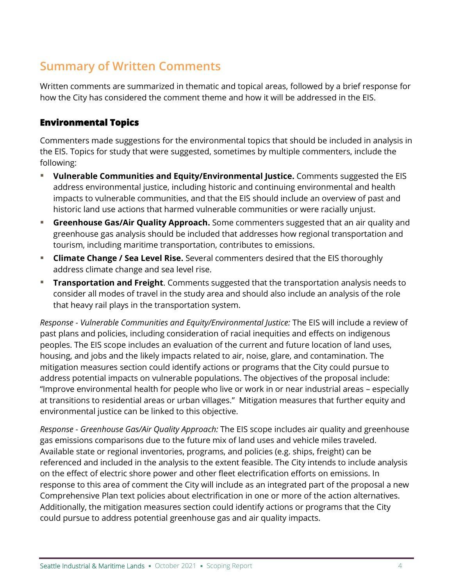# **Summary of Written Comments**

Written comments are summarized in thematic and topical areas, followed by a brief response for how the City has considered the comment theme and how it will be addressed in the EIS.

### **Environmental Topics**

Commenters made suggestions for the environmental topics that should be included in analysis in the EIS. Topics for study that were suggested, sometimes by multiple commenters, include the following:

- **Vulnerable Communities and Equity/Environmental Justice.** Comments suggested the EIS address environmental justice, including historic and continuing environmental and health impacts to vulnerable communities, and that the EIS should include an overview of past and historic land use actions that harmed vulnerable communities or were racially unjust.
- **EXTERFIFIOR GASAIR GAS/Air Quality Approach.** Some commenters suggested that an air quality and greenhouse gas analysis should be included that addresses how regional transportation and tourism, including maritime transportation, contributes to emissions.
- **EXTERGHMENGE Change / Sea Level Rise.** Several commenters desired that the EIS thoroughly address climate change and sea level rise.
- **Transportation and Freight**. Comments suggested that the transportation analysis needs to consider all modes of travel in the study area and should also include an analysis of the role that heavy rail plays in the transportation system.

*Response - Vulnerable Communities and Equity/Environmental Justice:* The EIS will include a review of past plans and policies, including consideration of racial inequities and effects on indigenous peoples. The EIS scope includes an evaluation of the current and future location of land uses, housing, and jobs and the likely impacts related to air, noise, glare, and contamination. The mitigation measures section could identify actions or programs that the City could pursue to address potential impacts on vulnerable populations. The objectives of the proposal include: "Improve environmental health for people who live or work in or near industrial areas – especially at transitions to residential areas or urban villages." Mitigation measures that further equity and environmental justice can be linked to this objective.

*Response - Greenhouse Gas/Air Quality Approach:* The EIS scope includes air quality and greenhouse gas emissions comparisons due to the future mix of land uses and vehicle miles traveled. Available state or regional inventories, programs, and policies (e.g. ships, freight) can be referenced and included in the analysis to the extent feasible. The City intends to include analysis on the effect of electric shore power and other fleet electrification efforts on emissions. In response to this area of comment the City will include as an integrated part of the proposal a new Comprehensive Plan text policies about electrification in one or more of the action alternatives. Additionally, the mitigation measures section could identify actions or programs that the City could pursue to address potential greenhouse gas and air quality impacts.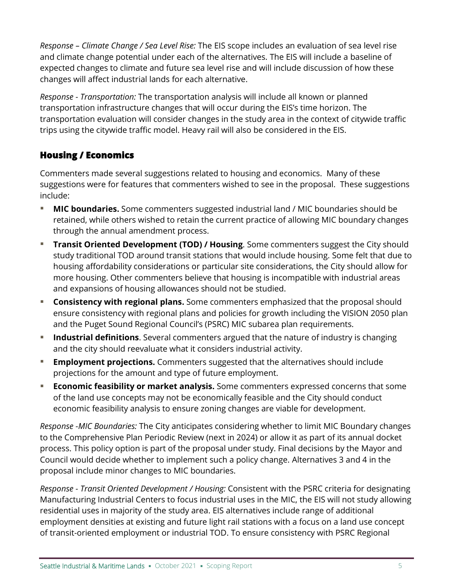*Response – Climate Change / Sea Level Rise:* The EIS scope includes an evaluation of sea level rise and climate change potential under each of the alternatives. The EIS will include a baseline of expected changes to climate and future sea level rise and will include discussion of how these changes will affect industrial lands for each alternative.

*Response - Transportation:* The transportation analysis will include all known or planned transportation infrastructure changes that will occur during the EIS's time horizon. The transportation evaluation will consider changes in the study area in the context of citywide traffic trips using the citywide traffic model. Heavy rail will also be considered in the EIS.

### **Housing / Economics**

Commenters made several suggestions related to housing and economics. Many of these suggestions were for features that commenters wished to see in the proposal. These suggestions include:

- **I** MIC boundaries. Some commenters suggested industrial land / MIC boundaries should be retained, while others wished to retain the current practice of allowing MIC boundary changes through the annual amendment process.
- **Transit Oriented Development (TOD) / Housing**. Some commenters suggest the City should study traditional TOD around transit stations that would include housing. Some felt that due to housing affordability considerations or particular site considerations, the City should allow for more housing. Other commenters believe that housing is incompatible with industrial areas and expansions of housing allowances should not be studied.
- **EXTED THE Consistency with regional plans.** Some commenters emphasized that the proposal should ensure consistency with regional plans and policies for growth including the VISION 2050 plan and the Puget Sound Regional Council's (PSRC) MIC subarea plan requirements.
- **EXTED Industrial definitions.** Several commenters argued that the nature of industry is changing and the city should reevaluate what it considers industrial activity.
- **Employment projections.** Commenters suggested that the alternatives should include projections for the amount and type of future employment.
- **Economic feasibility or market analysis.** Some commenters expressed concerns that some of the land use concepts may not be economically feasible and the City should conduct economic feasibility analysis to ensure zoning changes are viable for development.

*Response -MIC Boundaries:* The City anticipates considering whether to limit MIC Boundary changes to the Comprehensive Plan Periodic Review (next in 2024) or allow it as part of its annual docket process. This policy option is part of the proposal under study. Final decisions by the Mayor and Council would decide whether to implement such a policy change. Alternatives 3 and 4 in the proposal include minor changes to MIC boundaries.

*Response - Transit Oriented Development / Housing:* Consistent with the PSRC criteria for designating Manufacturing Industrial Centers to focus industrial uses in the MIC, the EIS will not study allowing residential uses in majority of the study area. EIS alternatives include range of additional employment densities at existing and future light rail stations with a focus on a land use concept of transit-oriented employment or industrial TOD. To ensure consistency with PSRC Regional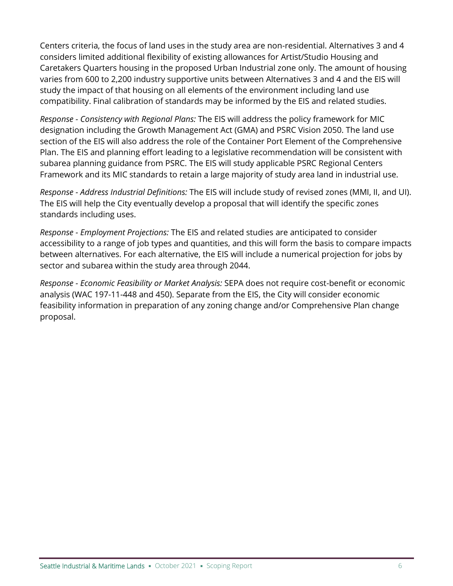Centers criteria, the focus of land uses in the study area are non-residential. Alternatives 3 and 4 considers limited additional flexibility of existing allowances for Artist/Studio Housing and Caretakers Quarters housing in the proposed Urban Industrial zone only. The amount of housing varies from 600 to 2,200 industry supportive units between Alternatives 3 and 4 and the EIS will study the impact of that housing on all elements of the environment including land use compatibility. Final calibration of standards may be informed by the EIS and related studies.

*Response - Consistency with Regional Plans:* The EIS will address the policy framework for MIC designation including the Growth Management Act (GMA) and PSRC Vision 2050. The land use section of the EIS will also address the role of the Container Port Element of the Comprehensive Plan. The EIS and planning effort leading to a legislative recommendation will be consistent with subarea planning guidance from PSRC. The EIS will study applicable PSRC Regional Centers Framework and its MIC standards to retain a large majority of study area land in industrial use.

*Response - Address Industrial Definitions:* The EIS will include study of revised zones (MMI, II, and UI). The EIS will help the City eventually develop a proposal that will identify the specific zones standards including uses.

*Response - Employment Projections:* The EIS and related studies are anticipated to consider accessibility to a range of job types and quantities, and this will form the basis to compare impacts between alternatives. For each alternative, the EIS will include a numerical projection for jobs by sector and subarea within the study area through 2044.

*Response - Economic Feasibility or Market Analysis:* SEPA does not require cost-benefit or economic analysis (WAC 197-11-448 and 450). Separate from the EIS, the City will consider economic feasibility information in preparation of any zoning change and/or Comprehensive Plan change proposal.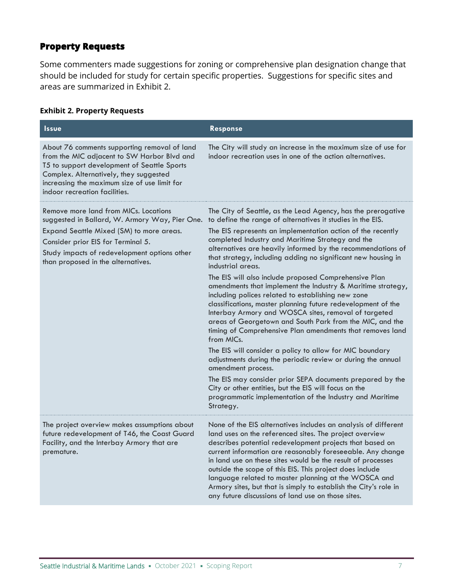### **Property Requests**

Some commenters made suggestions for zoning or comprehensive plan designation change that should be included for study for certain specific properties. Suggestions for specific sites and areas are summarized in [Exhibit 2.](#page-7-0)

#### <span id="page-7-0"></span>**Exhibit 2. Property Requests**

| <b>Issue</b>                                                                                                                                                                                                                                                          | <b>Response</b>                                                                                                                                                                                                                                                                                                                                                                                                                                                                                                                                                                                                                                                                                                                                                                                                                                                                                                                                                                                                                                                                                                                                                                                 |
|-----------------------------------------------------------------------------------------------------------------------------------------------------------------------------------------------------------------------------------------------------------------------|-------------------------------------------------------------------------------------------------------------------------------------------------------------------------------------------------------------------------------------------------------------------------------------------------------------------------------------------------------------------------------------------------------------------------------------------------------------------------------------------------------------------------------------------------------------------------------------------------------------------------------------------------------------------------------------------------------------------------------------------------------------------------------------------------------------------------------------------------------------------------------------------------------------------------------------------------------------------------------------------------------------------------------------------------------------------------------------------------------------------------------------------------------------------------------------------------|
| About 76 comments supporting removal of land<br>from the MIC adjacent to SW Harbor Blvd and<br>T5 to support development of Seattle Sports<br>Complex. Alternatively, they suggested<br>increasing the maximum size of use limit for<br>indoor recreation facilities. | The City will study an increase in the maximum size of use for<br>indoor recreation uses in one of the action alternatives.                                                                                                                                                                                                                                                                                                                                                                                                                                                                                                                                                                                                                                                                                                                                                                                                                                                                                                                                                                                                                                                                     |
| Remove more land from MICs. Locations<br>suggested in Ballard, W. Armory Way, Pier One.<br>Expand Seattle Mixed (SM) to more areas.<br>Consider prior EIS for Terminal 5.<br>Study impacts of redevelopment options other<br>than proposed in the alternatives.       | The City of Seattle, as the Lead Agency, has the prerogative<br>to define the range of alternatives it studies in the EIS.<br>The EIS represents an implementation action of the recently<br>completed Industry and Maritime Strategy and the<br>alternatives are heavily informed by the recommendations of<br>that strategy, including adding no significant new housing in<br>industrial areas.<br>The EIS will also include proposed Comprehensive Plan<br>amendments that implement the Industry & Maritime strategy,<br>including polices related to establishing new zone<br>classifications, master planning future redevelopment of the<br>Interbay Armory and WOSCA sites, removal of targeted<br>areas of Georgetown and South Park from the MIC, and the<br>timing of Comprehensive Plan amendments that removes land<br>from MICs.<br>The EIS will consider a policy to allow for MIC boundary<br>adjustments during the periodic review or during the annual<br>amendment process.<br>The EIS may consider prior SEPA documents prepared by the<br>City or other entities, but the EIS will focus on the<br>programmatic implementation of the Industry and Maritime<br>Strategy. |
| The project overview makes assumptions about<br>future redevelopment of T46, the Coast Guard<br>Facility, and the Interbay Armory that are<br>premature.                                                                                                              | None of the EIS alternatives includes an analysis of different<br>land uses on the referenced sites. The project overview<br>describes potential redevelopment projects that based on<br>current information are reasonably foreseeable. Any change<br>in land use on these sites would be the result of processes<br>outside the scope of this EIS. This project does include<br>language related to master planning at the WOSCA and<br>Armory sites, but that is simply to establish the City's role in<br>any future discussions of land use on those sites.                                                                                                                                                                                                                                                                                                                                                                                                                                                                                                                                                                                                                                |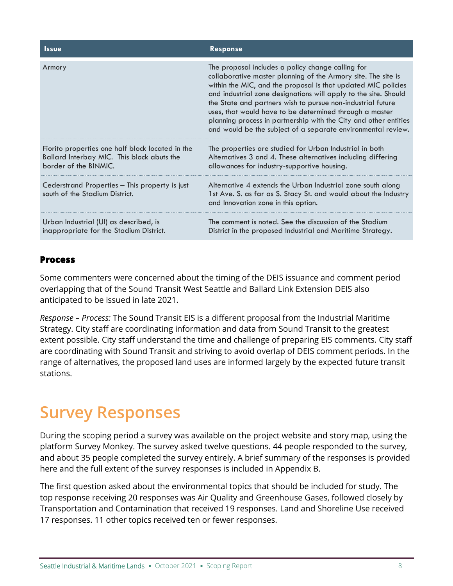| <b>Issue</b>                                                                                                            | <b>Response</b>                                                                                                                                                                                                                                                                                                                                                                                                                                                                                                      |
|-------------------------------------------------------------------------------------------------------------------------|----------------------------------------------------------------------------------------------------------------------------------------------------------------------------------------------------------------------------------------------------------------------------------------------------------------------------------------------------------------------------------------------------------------------------------------------------------------------------------------------------------------------|
| Armory                                                                                                                  | The proposal includes a policy change calling for<br>collaborative master planning of the Armory site. The site is<br>within the MIC, and the proposal is that updated MIC policies<br>and industrial zone designations will apply to the site. Should<br>the State and partners wish to pursue non-industrial future<br>uses, that would have to be determined through a master<br>planning process in partnership with the City and other entities<br>and would be the subject of a separate environmental review. |
| Fiorito properties one half block located in the<br>Ballard Interbay MIC. This block abuts the<br>border of the BINMIC. | The properties are studied for Urban Industrial in both<br>Alternatives 3 and 4. These alternatives including differing<br>allowances for industry-supportive housing.                                                                                                                                                                                                                                                                                                                                               |
| Cederstrand Properties - This property is just<br>south of the Stadium District.                                        | Alternative 4 extends the Urban Industrial zone south along<br>1st Ave. S. as far as S. Stacy St. and would about the Industry<br>and Innovation zone in this option.                                                                                                                                                                                                                                                                                                                                                |
| Urban Industrial (UI) as described, is<br>inappropriate for the Stadium District.                                       | The comment is noted. See the discussion of the Stadium<br>District in the proposed Industrial and Maritime Strategy.                                                                                                                                                                                                                                                                                                                                                                                                |

### **Process**

Some commenters were concerned about the timing of the DEIS issuance and comment period overlapping that of the Sound Transit West Seattle and Ballard Link Extension DEIS also anticipated to be issued in late 2021.

*Response – Process:* The Sound Transit EIS is a different proposal from the Industrial Maritime Strategy. City staff are coordinating information and data from Sound Transit to the greatest extent possible. City staff understand the time and challenge of preparing EIS comments. City staff are coordinating with Sound Transit and striving to avoid overlap of DEIS comment periods. In the range of alternatives, the proposed land uses are informed largely by the expected future transit stations.

# **Survey Responses**

During the scoping period a survey was available on the project website and story map, using the platform Survey Monkey. The survey asked twelve questions. 44 people responded to the survey, and about 35 people completed the survey entirely. A brief summary of the responses is provided here and the full extent of the survey responses is included in Appendix B.

The first question asked about the environmental topics that should be included for study. The top response receiving 20 responses was Air Quality and Greenhouse Gases, followed closely by Transportation and Contamination that received 19 responses. Land and Shoreline Use received 17 responses. 11 other topics received ten or fewer responses.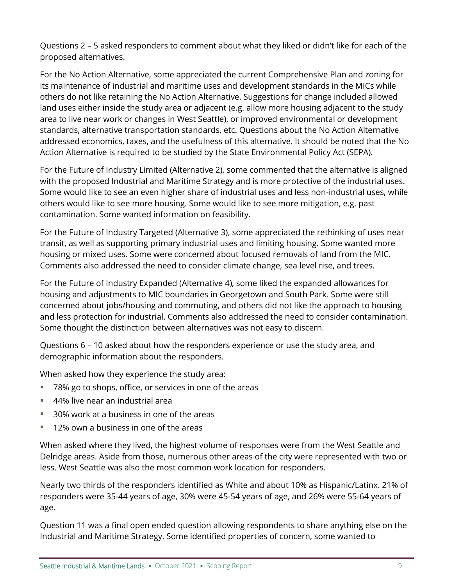Questions 2 – 5 asked responders to comment about what they liked or didn't like for each of the proposed alternatives.

For the No Action Alternative, some appreciated the current Comprehensive Plan and zoning for its maintenance of industrial and maritime uses and development standards in the MICs while others do not like retaining the No Action Alternative. Suggestions for change included allowed land uses either inside the study area or adjacent (e.g. allow more housing adjacent to the study area to live near work or changes in West Seattle), or improved environmental or development standards, alternative transportation standards, etc. Questions about the No Action Alternative addressed economics, taxes, and the usefulness of this alternative. It should be noted that the No Action Alternative is required to be studied by the State Environmental Policy Act (SEPA).

For the Future of Industry Limited (Alternative 2), some commented that the alternative is aligned with the proposed Industrial and Maritime Strategy and is more protective of the industrial uses. Some would like to see an even higher share of industrial uses and less non-industrial uses, while others would like to see more housing. Some would like to see more mitigation, e.g. past contamination. Some wanted information on feasibility.

For the Future of Industry Targeted (Alternative 3), some appreciated the rethinking of uses near transit, as well as supporting primary industrial uses and limiting housing. Some wanted more housing or mixed uses. Some were concerned about focused removals of land from the MIC. Comments also addressed the need to consider climate change, sea level rise, and trees.

For the Future of Industry Expanded (Alternative 4), some liked the expanded allowances for housing and adjustments to MIC boundaries in Georgetown and South Park. Some were still concerned about jobs/housing and commuting, and others did not like the approach to housing and less protection for industrial. Comments also addressed the need to consider contamination. Some thought the distinction between alternatives was not easy to discern.

Questions 6 – 10 asked about how the responders experience or use the study area, and demographic information about the responders.

When asked how they experience the study area:

- 78% go to shops, office, or services in one of the areas
- 44% live near an industrial area
- 30% work at a business in one of the areas
- 12% own a business in one of the areas

When asked where they lived, the highest volume of responses were from the West Seattle and Delridge areas. Aside from those, numerous other areas of the city were represented with two or less. West Seattle was also the most common work location for responders.

Nearly two thirds of the responders identified as White and about 10% as Hispanic/Latinx. 21% of responders were 35-44 years of age, 30% were 45-54 years of age, and 26% were 55-64 years of age.

Question 11 was a final open ended question allowing respondents to share anything else on the Industrial and Maritime Strategy. Some identified properties of concern, some wanted to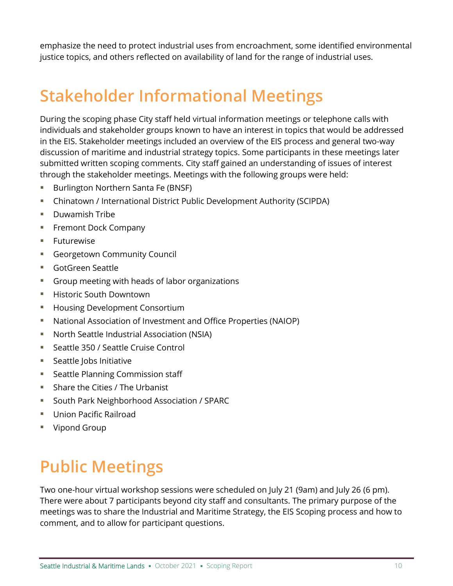emphasize the need to protect industrial uses from encroachment, some identified environmental justice topics, and others reflected on availability of land for the range of industrial uses.

# **Stakeholder Informational Meetings**

During the scoping phase City staff held virtual information meetings or telephone calls with individuals and stakeholder groups known to have an interest in topics that would be addressed in the EIS. Stakeholder meetings included an overview of the EIS process and general two-way discussion of maritime and industrial strategy topics. Some participants in these meetings later submitted written scoping comments. City staff gained an understanding of issues of interest through the stakeholder meetings. Meetings with the following groups were held:

- Burlington Northern Santa Fe (BNSF)
- **E** Chinatown / International District Public Development Authority (SCIPDA)
- Duwamish Tribe
- **Exercise Fremont Dock Company**
- Futurewise
- **Georgetown Community Council**
- GotGreen Seattle
- Group meeting with heads of labor organizations
- Historic South Downtown
- Housing Development Consortium
- National Association of Investment and Office Properties (NAIOP)
- North Seattle Industrial Association (NSIA)
- Seattle 350 / Seattle Cruise Control
- Seattle Jobs Initiative
- Seattle Planning Commission staff
- Share the Cities / The Urbanist
- South Park Neighborhood Association / SPARC
- Union Pacific Railroad
- Vipond Group

# **Public Meetings**

Two one-hour virtual workshop sessions were scheduled on July 21 (9am) and July 26 (6 pm). There were about 7 participants beyond city staff and consultants. The primary purpose of the meetings was to share the Industrial and Maritime Strategy, the EIS Scoping process and how to comment, and to allow for participant questions.